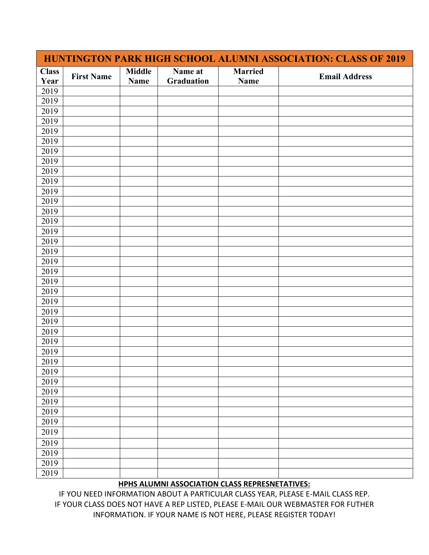| HUNTINGTON PARK HIGH SCHOOL ALUMNI ASSOCIATION: CLASS OF 2019 |                   |                              |                       |                        |                      |  |  |
|---------------------------------------------------------------|-------------------|------------------------------|-----------------------|------------------------|----------------------|--|--|
| <b>Class</b><br>Year                                          | <b>First Name</b> | <b>Middle</b><br><b>Name</b> | Name at<br>Graduation | <b>Married</b><br>Name | <b>Email Address</b> |  |  |
| 2019                                                          |                   |                              |                       |                        |                      |  |  |
| 2019                                                          |                   |                              |                       |                        |                      |  |  |
| 2019                                                          |                   |                              |                       |                        |                      |  |  |
| 2019                                                          |                   |                              |                       |                        |                      |  |  |
| 2019                                                          |                   |                              |                       |                        |                      |  |  |
| 2019                                                          |                   |                              |                       |                        |                      |  |  |
| 2019                                                          |                   |                              |                       |                        |                      |  |  |
| 2019                                                          |                   |                              |                       |                        |                      |  |  |
| 2019                                                          |                   |                              |                       |                        |                      |  |  |
| 2019                                                          |                   |                              |                       |                        |                      |  |  |
| 2019                                                          |                   |                              |                       |                        |                      |  |  |
| 2019                                                          |                   |                              |                       |                        |                      |  |  |
| 2019                                                          |                   |                              |                       |                        |                      |  |  |
| 2019                                                          |                   |                              |                       |                        |                      |  |  |
| 2019                                                          |                   |                              |                       |                        |                      |  |  |
| 2019                                                          |                   |                              |                       |                        |                      |  |  |
| 2019                                                          |                   |                              |                       |                        |                      |  |  |
| 2019                                                          |                   |                              |                       |                        |                      |  |  |
| 2019                                                          |                   |                              |                       |                        |                      |  |  |
| 2019                                                          |                   |                              |                       |                        |                      |  |  |
| 2019                                                          |                   |                              |                       |                        |                      |  |  |
| 2019                                                          |                   |                              |                       |                        |                      |  |  |
| 2019                                                          |                   |                              |                       |                        |                      |  |  |
| 2019                                                          |                   |                              |                       |                        |                      |  |  |
| 2019                                                          |                   |                              |                       |                        |                      |  |  |
| 2019                                                          |                   |                              |                       |                        |                      |  |  |
| 2019                                                          |                   |                              |                       |                        |                      |  |  |
| 2019                                                          |                   |                              |                       |                        |                      |  |  |
| 2019                                                          |                   |                              |                       |                        |                      |  |  |
| 2019                                                          |                   |                              |                       |                        |                      |  |  |
| 2019                                                          |                   |                              |                       |                        |                      |  |  |
| 2019                                                          |                   |                              |                       |                        |                      |  |  |
| 2019                                                          |                   |                              |                       |                        |                      |  |  |
| 2019                                                          |                   |                              |                       |                        |                      |  |  |
| 2019                                                          |                   |                              |                       |                        |                      |  |  |
| 2019                                                          |                   |                              |                       |                        |                      |  |  |
| 2019                                                          |                   |                              |                       |                        |                      |  |  |
| 2019                                                          |                   |                              |                       |                        |                      |  |  |
| 2019                                                          |                   |                              |                       |                        |                      |  |  |

## **HPHS ALUMNI ASSOCIATION CLASS REPRESNETATIVES:**

IF YOU NEED INFORMATION ABOUT A PARTICULAR CLASS YEAR, PLEASE E-MAIL CLASS REP. IF YOUR CLASS DOES NOT HAVE A REP LISTED, PLEASE E-MAIL OUR WEBMASTER FOR FUTHER INFORMATION. IF YOUR NAME IS NOT HERE, PLEASE REGISTER TODAY!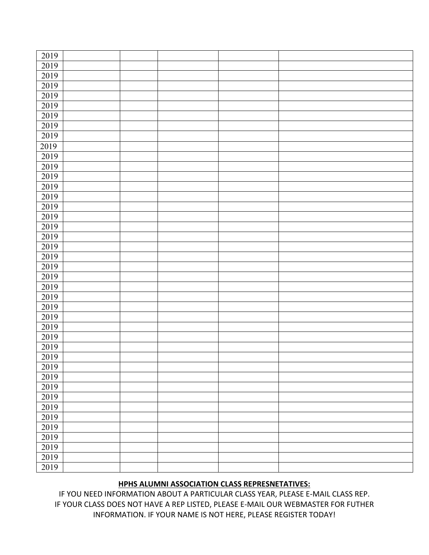| 2019 |  |  |  |
|------|--|--|--|
| 2019 |  |  |  |
| 2019 |  |  |  |
| 2019 |  |  |  |
| 2019 |  |  |  |
| 2019 |  |  |  |
| 2019 |  |  |  |
| 2019 |  |  |  |
| 2019 |  |  |  |
| 2019 |  |  |  |
| 2019 |  |  |  |
| 2019 |  |  |  |
| 2019 |  |  |  |
| 2019 |  |  |  |
| 2019 |  |  |  |
| 2019 |  |  |  |
| 2019 |  |  |  |
| 2019 |  |  |  |
| 2019 |  |  |  |
| 2019 |  |  |  |
| 2019 |  |  |  |
| 2019 |  |  |  |
| 2019 |  |  |  |
| 2019 |  |  |  |
| 2019 |  |  |  |
| 2019 |  |  |  |
| 2019 |  |  |  |
| 2019 |  |  |  |
| 2019 |  |  |  |
| 2019 |  |  |  |
| 2019 |  |  |  |
| 2019 |  |  |  |
| 2019 |  |  |  |
| 2019 |  |  |  |
| 2019 |  |  |  |
| 2019 |  |  |  |
| 2019 |  |  |  |
| 2019 |  |  |  |
| 2019 |  |  |  |
| 2019 |  |  |  |
| 2019 |  |  |  |
| 2019 |  |  |  |

## **HPHS ALUMNI ASSOCIATION CLASS REPRESNETATIVES:**

IF YOU NEED INFORMATION ABOUT A PARTICULAR CLASS YEAR, PLEASE E-MAIL CLASS REP. IF YOUR CLASS DOES NOT HAVE A REP LISTED, PLEASE E-MAIL OUR WEBMASTER FOR FUTHER INFORMATION. IF YOUR NAME IS NOT HERE, PLEASE REGISTER TODAY!